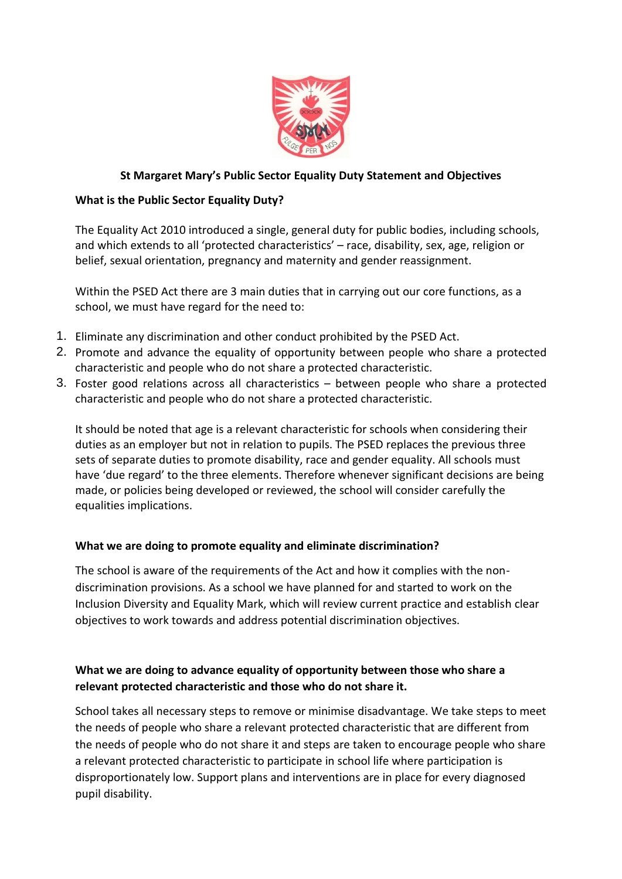

## **St Margaret Mary's Public Sector Equality Duty Statement and Objectives**

## **What is the Public Sector Equality Duty?**

The Equality Act 2010 introduced a single, general duty for public bodies, including schools, and which extends to all 'protected characteristics' – race, disability, sex, age, religion or belief, sexual orientation, pregnancy and maternity and gender reassignment.

Within the PSED Act there are 3 main duties that in carrying out our core functions, as a school, we must have regard for the need to:

- 1. Eliminate any discrimination and other conduct prohibited by the PSED Act.
- 2. Promote and advance the equality of opportunity between people who share a protected characteristic and people who do not share a protected characteristic.
- 3. Foster good relations across all characteristics between people who share a protected characteristic and people who do not share a protected characteristic.

It should be noted that age is a relevant characteristic for schools when considering their duties as an employer but not in relation to pupils. The PSED replaces the previous three sets of separate duties to promote disability, race and gender equality. All schools must have 'due regard' to the three elements. Therefore whenever significant decisions are being made, or policies being developed or reviewed, the school will consider carefully the equalities implications.

### **What we are doing to promote equality and eliminate discrimination?**

The school is aware of the requirements of the Act and how it complies with the nondiscrimination provisions. As a school we have planned for and started to work on the Inclusion Diversity and Equality Mark, which will review current practice and establish clear objectives to work towards and address potential discrimination objectives.

# **What we are doing to advance equality of opportunity between those who share a relevant protected characteristic and those who do not share it.**

School takes all necessary steps to remove or minimise disadvantage. We take steps to meet the needs of people who share a relevant protected characteristic that are different from the needs of people who do not share it and steps are taken to encourage people who share a relevant protected characteristic to participate in school life where participation is disproportionately low. Support plans and interventions are in place for every diagnosed pupil disability.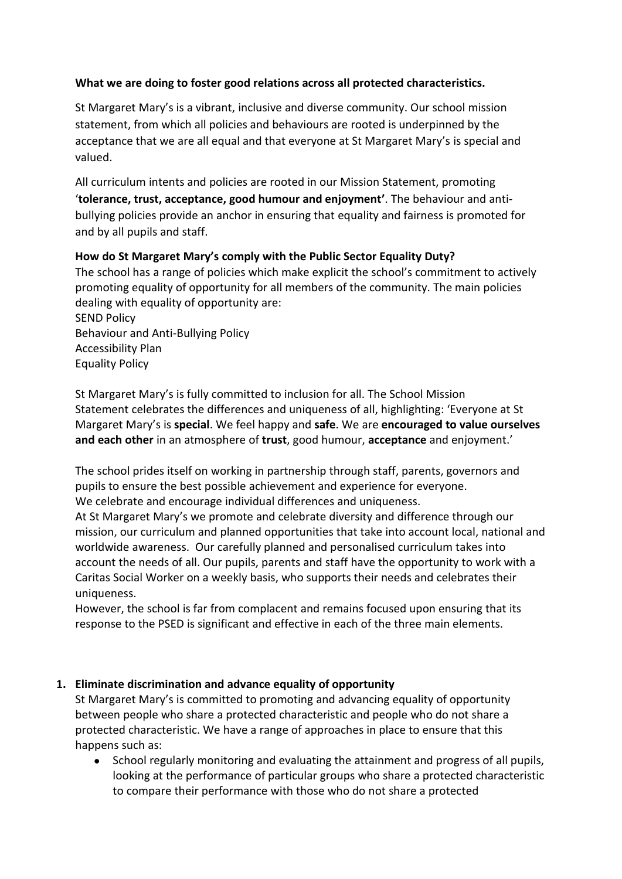# **What we are doing to foster good relations across all protected characteristics.**

St Margaret Mary's is a vibrant, inclusive and diverse community. Our school mission statement, from which all policies and behaviours are rooted is underpinned by the acceptance that we are all equal and that everyone at St Margaret Mary's is special and valued.

All curriculum intents and policies are rooted in our Mission Statement, promoting '**tolerance, trust, acceptance, good humour and enjoyment'**. The behaviour and antibullying policies provide an anchor in ensuring that equality and fairness is promoted for and by all pupils and staff.

# **How do St Margaret Mary's comply with the Public Sector Equality Duty?**

The school has a range of policies which make explicit the school's commitment to actively promoting equality of opportunity for all members of the community. The main policies dealing with equality of opportunity are:

SEND Policy Behaviour and Anti-Bullying Policy Accessibility Plan Equality Policy

St Margaret Mary's is fully committed to inclusion for all. The School Mission Statement celebrates the differences and uniqueness of all, highlighting: 'Everyone at St Margaret Mary's is **special**. We feel happy and **safe**. We are **encouraged to value ourselves and each other** in an atmosphere of **trust**, good humour, **acceptance** and enjoyment.'

The school prides itself on working in partnership through staff, parents, governors and pupils to ensure the best possible achievement and experience for everyone. We celebrate and encourage individual differences and uniqueness.

At St Margaret Mary's we promote and celebrate diversity and difference through our mission, our curriculum and planned opportunities that take into account local, national and worldwide awareness. Our carefully planned and personalised curriculum takes into account the needs of all. Our pupils, parents and staff have the opportunity to work with a Caritas Social Worker on a weekly basis, who supports their needs and celebrates their uniqueness.

However, the school is far from complacent and remains focused upon ensuring that its response to the PSED is significant and effective in each of the three main elements.

### **1. Eliminate discrimination and advance equality of opportunity**

St Margaret Mary's is committed to promoting and advancing equality of opportunity between people who share a protected characteristic and people who do not share a protected characteristic. We have a range of approaches in place to ensure that this happens such as:

 School regularly monitoring and evaluating the attainment and progress of all pupils, looking at the performance of particular groups who share a protected characteristic to compare their performance with those who do not share a protected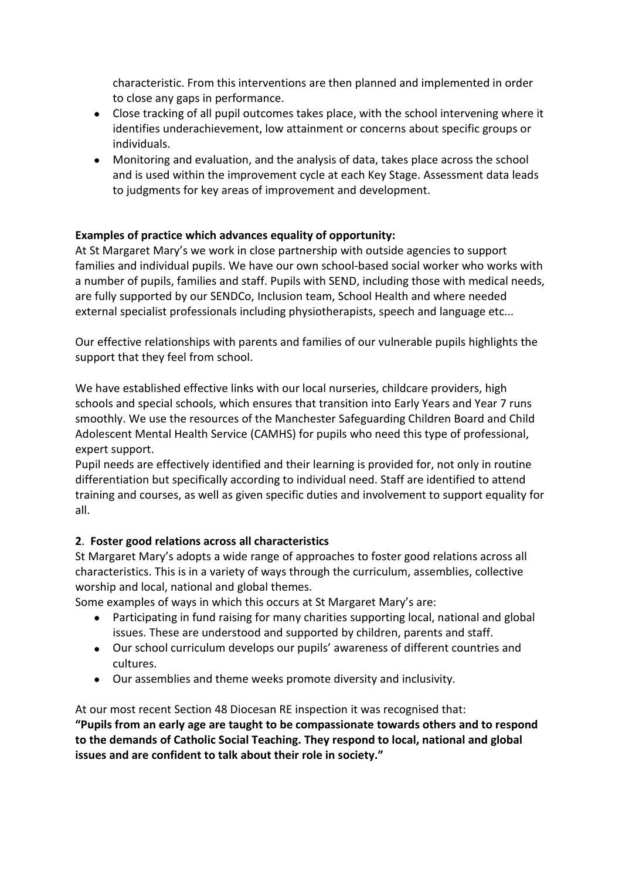characteristic. From this interventions are then planned and implemented in order to close any gaps in performance.

- Close tracking of all pupil outcomes takes place, with the school intervening where it identifies underachievement, low attainment or concerns about specific groups or individuals.
- Monitoring and evaluation, and the analysis of data, takes place across the school and is used within the improvement cycle at each Key Stage. Assessment data leads to judgments for key areas of improvement and development.

### **Examples of practice which advances equality of opportunity:**

At St Margaret Mary's we work in close partnership with outside agencies to support families and individual pupils. We have our own school-based social worker who works with a number of pupils, families and staff. Pupils with SEND, including those with medical needs, are fully supported by our SENDCo, Inclusion team, School Health and where needed external specialist professionals including physiotherapists, speech and language etc...

Our effective relationships with parents and families of our vulnerable pupils highlights the support that they feel from school.

We have established effective links with our local nurseries, childcare providers, high schools and special schools, which ensures that transition into Early Years and Year 7 runs smoothly. We use the resources of the Manchester Safeguarding Children Board and Child Adolescent Mental Health Service (CAMHS) for pupils who need this type of professional, expert support.

Pupil needs are effectively identified and their learning is provided for, not only in routine differentiation but specifically according to individual need. Staff are identified to attend training and courses, as well as given specific duties and involvement to support equality for all.

### **2**. **Foster good relations across all characteristics**

St Margaret Mary's adopts a wide range of approaches to foster good relations across all characteristics. This is in a variety of ways through the curriculum, assemblies, collective worship and local, national and global themes.

Some examples of ways in which this occurs at St Margaret Mary's are:

- Participating in fund raising for many charities supporting local, national and global issues. These are understood and supported by children, parents and staff.
- Our school curriculum develops our pupils' awareness of different countries and cultures.
- Our assemblies and theme weeks promote diversity and inclusivity.

At our most recent Section 48 Diocesan RE inspection it was recognised that:

**"Pupils from an early age are taught to be compassionate towards others and to respond to the demands of Catholic Social Teaching. They respond to local, national and global issues and are confident to talk about their role in society."**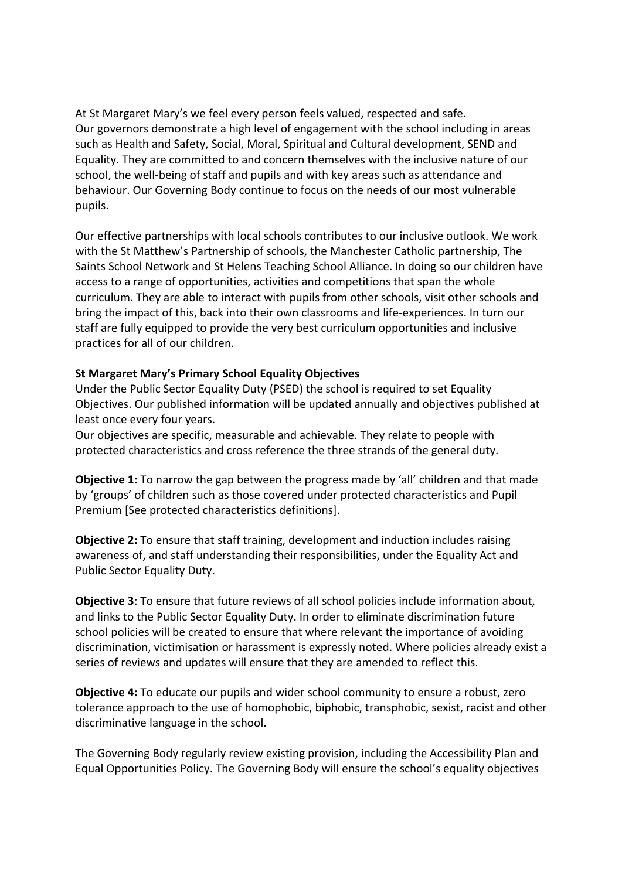At St Margaret Mary's we feel every person feels valued, respected and safe. Our governors demonstrate a high level of engagement with the school including in areas such as Health and Safety, Social, Moral, Spiritual and Cultural development, SEND and Equality. They are committed to and concern themselves with the inclusive nature of our school, the well-being of staff and pupils and with key areas such as attendance and behaviour. Our Governing Body continue to focus on the needs of our most vulnerable pupils.

Our effective partnerships with local schools contributes to our inclusive outlook. We work with the St Matthew's Partnership of schools, the Manchester Catholic partnership, The Saints School Network and St Helens Teaching School Alliance. In doing so our children have access to a range of opportunities, activities and competitions that span the whole curriculum. They are able to interact with pupils from other schools, visit other schools and bring the impact of this, back into their own classrooms and life-experiences. In turn our staff are fully equipped to provide the very best curriculum opportunities and inclusive practices for all of our children.

### **St Margaret Mary's Primary School Equality Objectives**

Under the Public Sector Equality Duty (PSED) the school is required to set Equality Objectives. Our published information will be updated annually and objectives published at least once every four years.

Our objectives are specific, measurable and achievable. They relate to people with protected characteristics and cross reference the three strands of the general duty.

**Objective 1:** To narrow the gap between the progress made by 'all' children and that made by 'groups' of children such as those covered under protected characteristics and Pupil Premium [See protected characteristics definitions].

**Objective 2:** To ensure that staff training, development and induction includes raising awareness of, and staff understanding their responsibilities, under the Equality Act and Public Sector Equality Duty.

**Objective 3**: To ensure that future reviews of all school policies include information about, and links to the Public Sector Equality Duty. In order to eliminate discrimination future school policies will be created to ensure that where relevant the importance of avoiding discrimination, victimisation or harassment is expressly noted. Where policies already exist a series of reviews and updates will ensure that they are amended to reflect this.

**Objective 4:** To educate our pupils and wider school community to ensure a robust, zero tolerance approach to the use of homophobic, biphobic, transphobic, sexist, racist and other discriminative language in the school.

The Governing Body regularly review existing provision, including the Accessibility Plan and Equal Opportunities Policy. The Governing Body will ensure the school's equality objectives